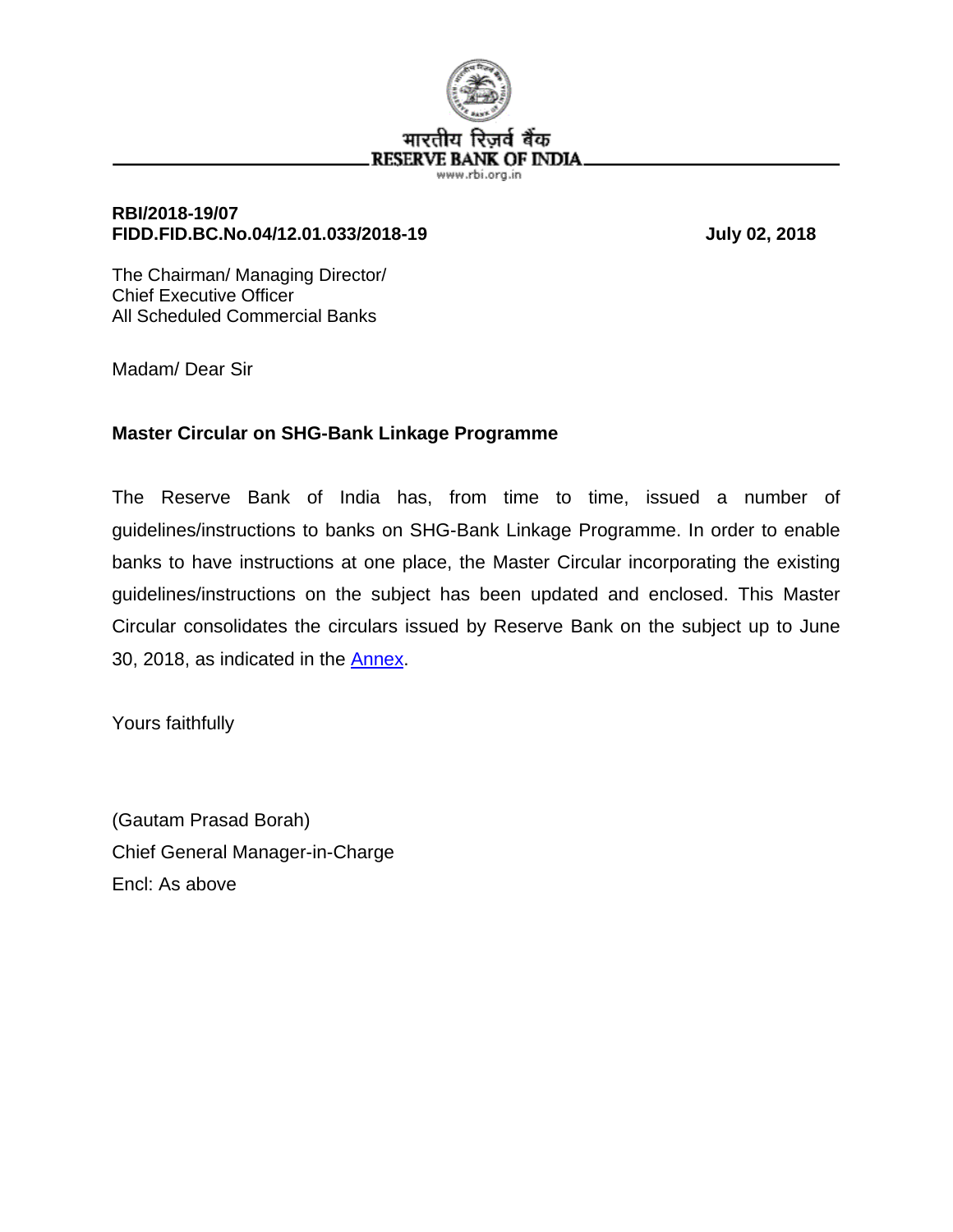

## **RBI/2018-19/07 FIDD.FID.BC.No.04/12.01.033/2018-19 July 02, 2018**

The Chairman/ Managing Director/ Chief Executive Officer All Scheduled Commercial Banks

Madam/ Dear Sir

# **Master Circular on SHG-Bank Linkage Programme**

The Reserve Bank of India has, from time to time, issued a number of guidelines/instructions to banks on SHG-Bank Linkage Programme. In order to enable banks to have instructions at one place, the Master Circular incorporating the existing guidelines/instructions on the subject has been updated and enclosed. This Master Circular consolidates the circulars issued by Reserve Bank on the subject up to June 30, 2018, as indicated in the [Annex.](#page-5-0)

Yours faithfully

(Gautam Prasad Borah) Chief General Manager-in-Charge Encl: As above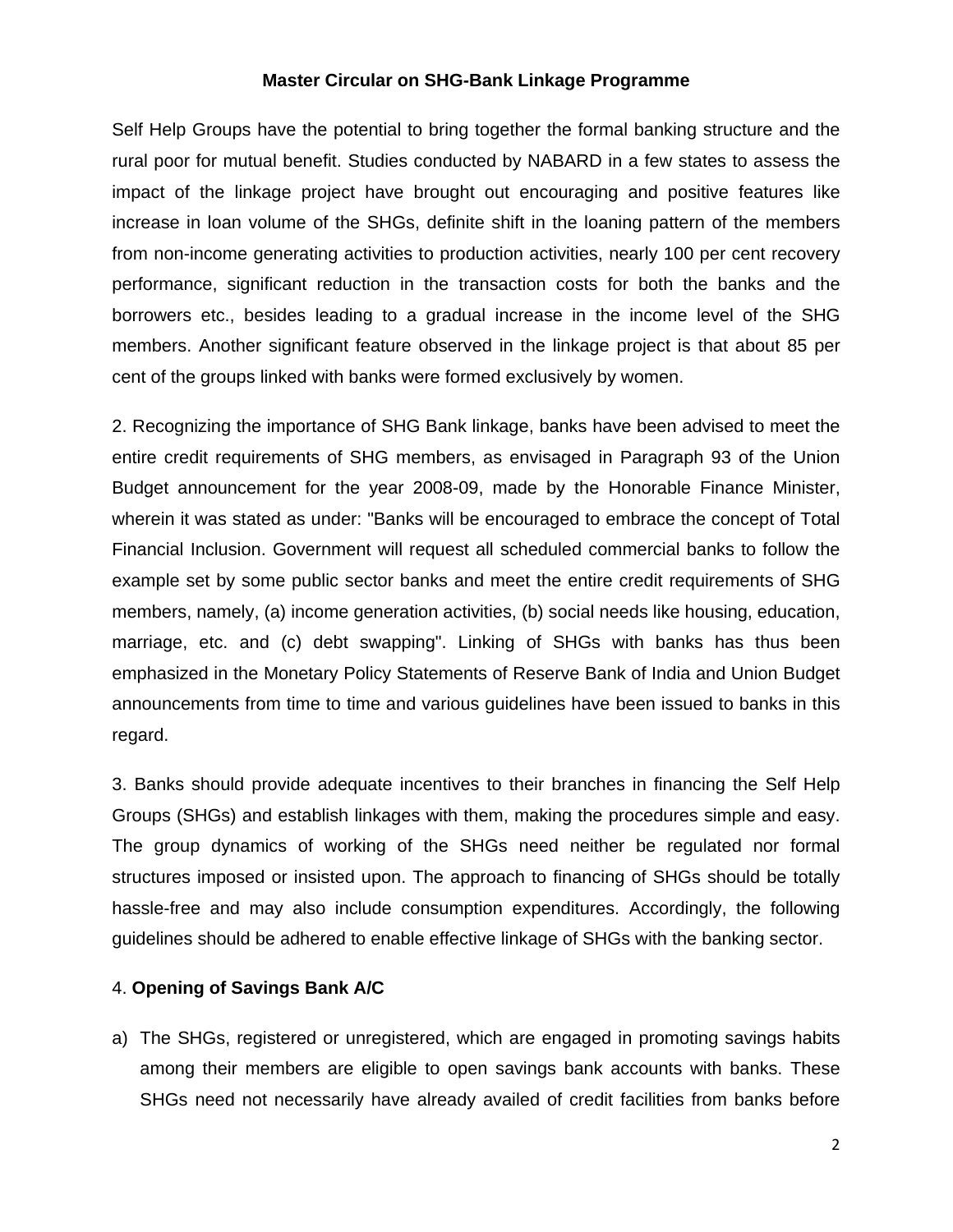#### **Master Circular on SHG-Bank Linkage Programme**

Self Help Groups have the potential to bring together the formal banking structure and the rural poor for mutual benefit. Studies conducted by NABARD in a few states to assess the impact of the linkage project have brought out encouraging and positive features like increase in loan volume of the SHGs, definite shift in the loaning pattern of the members from non-income generating activities to production activities, nearly 100 per cent recovery performance, significant reduction in the transaction costs for both the banks and the borrowers etc., besides leading to a gradual increase in the income level of the SHG members. Another significant feature observed in the linkage project is that about 85 per cent of the groups linked with banks were formed exclusively by women.

2. Recognizing the importance of SHG Bank linkage, banks have been advised to meet the entire credit requirements of SHG members, as envisaged in Paragraph 93 of the Union Budget announcement for the year 2008-09, made by the Honorable Finance Minister, wherein it was stated as under: "Banks will be encouraged to embrace the concept of Total Financial Inclusion. Government will request all scheduled commercial banks to follow the example set by some public sector banks and meet the entire credit requirements of SHG members, namely, (a) income generation activities, (b) social needs like housing, education, marriage, etc. and (c) debt swapping". Linking of SHGs with banks has thus been emphasized in the Monetary Policy Statements of Reserve Bank of India and Union Budget announcements from time to time and various guidelines have been issued to banks in this regard.

3. Banks should provide adequate incentives to their branches in financing the Self Help Groups (SHGs) and establish linkages with them, making the procedures simple and easy. The group dynamics of working of the SHGs need neither be regulated nor formal structures imposed or insisted upon. The approach to financing of SHGs should be totally hassle-free and may also include consumption expenditures. Accordingly, the following guidelines should be adhered to enable effective linkage of SHGs with the banking sector.

### 4. **Opening of Savings Bank A/C**

a) The SHGs, registered or unregistered, which are engaged in promoting savings habits among their members are eligible to open savings bank accounts with banks. These SHGs need not necessarily have already availed of credit facilities from banks before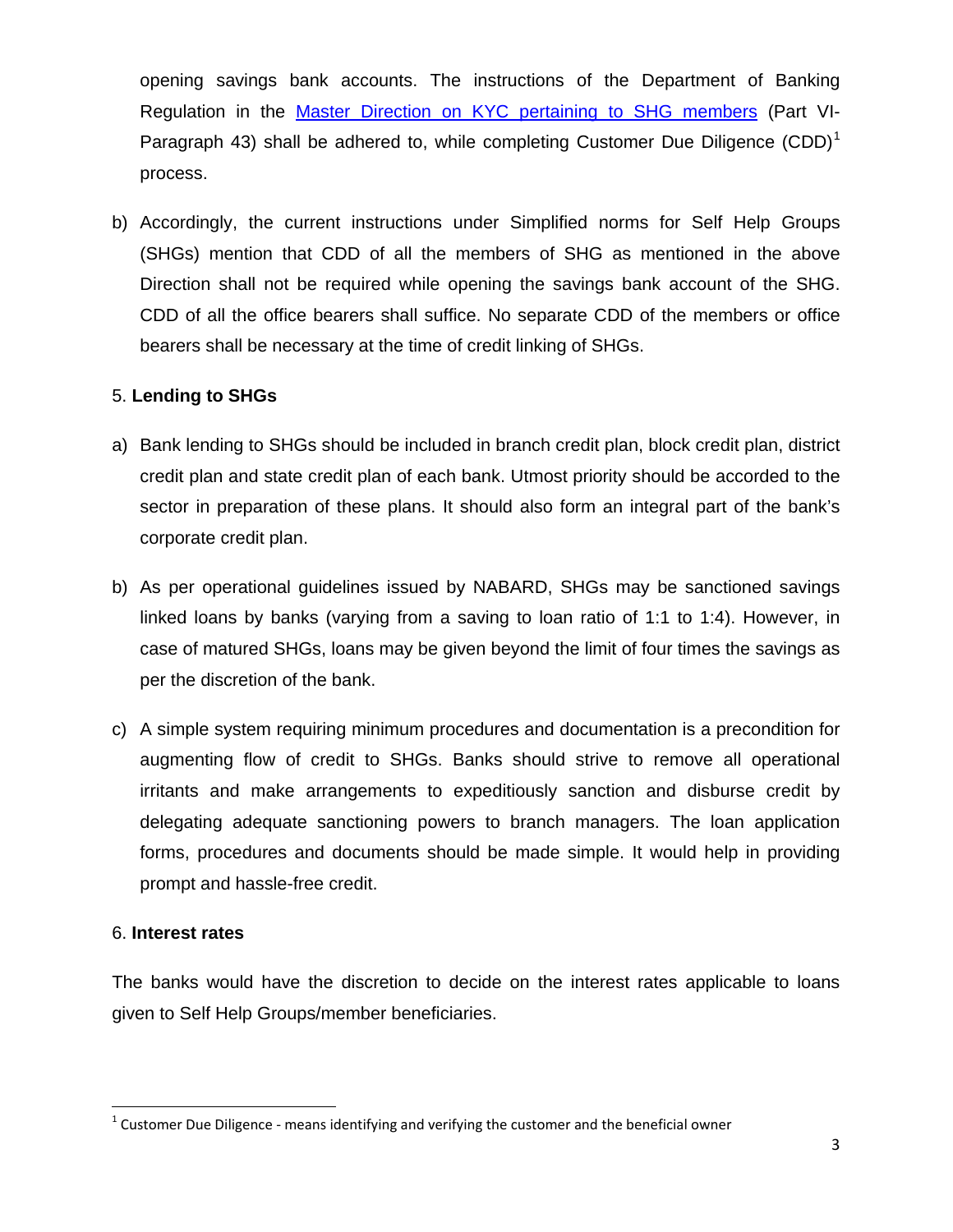opening savings bank accounts. The instructions of the Department of Banking Regulation in the [Master Direction on KYC pertaining to SHG members](https://rbi.org.in/SCRIPTS/BS_ViewMasDirections.aspx?id=10292) (Part VI-Paragraph 43) shall be adhered to, while completing Customer Due Diligence (CDD)<sup>[1](#page-2-0)</sup> process.

b) Accordingly, the current instructions under Simplified norms for Self Help Groups (SHGs) mention that CDD of all the members of SHG as mentioned in the above Direction shall not be required while opening the savings bank account of the SHG. CDD of all the office bearers shall suffice. No separate CDD of the members or office bearers shall be necessary at the time of credit linking of SHGs.

## 5. **Lending to SHGs**

- a) Bank lending to SHGs should be included in branch credit plan, block credit plan, district credit plan and state credit plan of each bank. Utmost priority should be accorded to the sector in preparation of these plans. It should also form an integral part of the bank's corporate credit plan.
- b) As per operational guidelines issued by NABARD, SHGs may be sanctioned savings linked loans by banks (varying from a saving to loan ratio of 1:1 to 1:4). However, in case of matured SHGs, loans may be given beyond the limit of four times the savings as per the discretion of the bank.
- c) A simple system requiring minimum procedures and documentation is a precondition for augmenting flow of credit to SHGs. Banks should strive to remove all operational irritants and make arrangements to expeditiously sanction and disburse credit by delegating adequate sanctioning powers to branch managers. The loan application forms, procedures and documents should be made simple. It would help in providing prompt and hassle-free credit.

### 6. **Interest rates**

The banks would have the discretion to decide on the interest rates applicable to loans given to Self Help Groups/member beneficiaries.

<span id="page-2-0"></span> $1$  Customer Due Diligence - means identifying and verifying the customer and the beneficial owner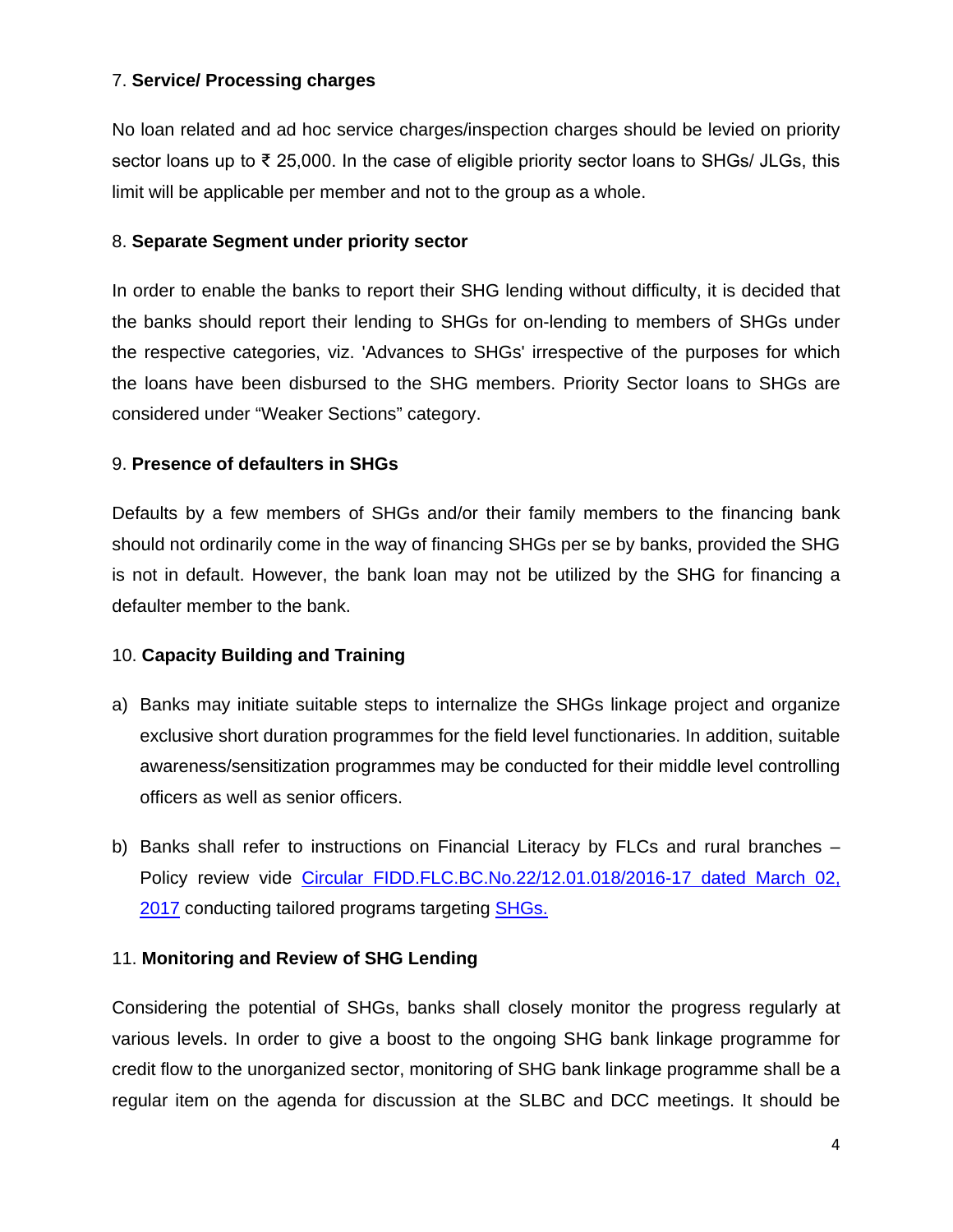## 7. **Service/ Processing charges**

No loan related and ad hoc service charges/inspection charges should be levied on priority sector loans up to ₹ 25,000. In the case of eligible priority sector loans to SHGs/ JLGs, this limit will be applicable per member and not to the group as a whole.

## 8. **Separate Segment under priority sector**

In order to enable the banks to report their SHG lending without difficulty, it is decided that the banks should report their lending to SHGs for on-lending to members of SHGs under the respective categories, viz. 'Advances to SHGs' irrespective of the purposes for which the loans have been disbursed to the SHG members. Priority Sector loans to SHGs are considered under "Weaker Sections" category.

## 9. **Presence of defaulters in SHGs**

Defaults by a few members of SHGs and/or their family members to the financing bank should not ordinarily come in the way of financing SHGs per se by banks, provided the SHG is not in default. However, the bank loan may not be utilized by the SHG for financing a defaulter member to the bank.

## 10. **Capacity Building and Training**

- a) Banks may initiate suitable steps to internalize the SHGs linkage project and organize exclusive short duration programmes for the field level functionaries. In addition, suitable awareness/sensitization programmes may be conducted for their middle level controlling officers as well as senior officers.
- b) Banks shall refer to instructions on Financial Literacy by FLCs and rural branches Policy review vide [Circular FIDD.FLC.BC.No.22/12.01.018/2016-17 dated March 02,](https://www.rbi.org.in/Scripts/NotificationUser.aspx?Id=10869&Mode=0)  [2017](https://www.rbi.org.in/Scripts/NotificationUser.aspx?Id=10869&Mode=0) conducting tailored programs targeting [SHGs.](https://www.rbi.org.in/FinancialEducation/content/04SELFHELP20042018.pdf)

# 11. **Monitoring and Review of SHG Lending**

Considering the potential of SHGs, banks shall closely monitor the progress regularly at various levels. In order to give a boost to the ongoing SHG bank linkage programme for credit flow to the unorganized sector, monitoring of SHG bank linkage programme shall be a regular item on the agenda for discussion at the SLBC and DCC meetings. It should be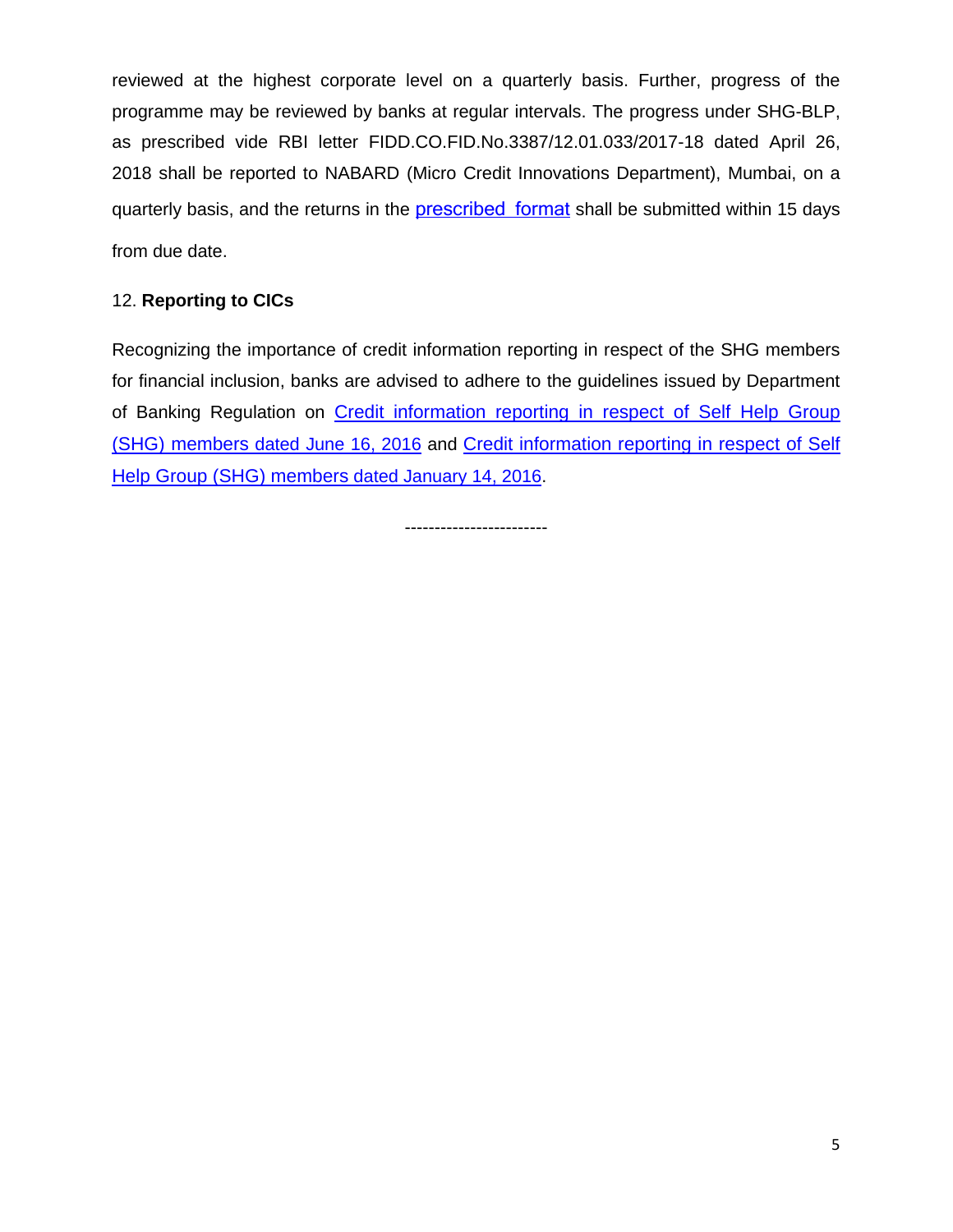reviewed at the highest corporate level on a quarterly basis. Further, progress of the programme may be reviewed by banks at regular intervals. The progress under SHG-BLP, as prescribed vide RBI letter FIDD.CO.FID.No.3387/12.01.033/2017-18 dated April 26, 2018 shall be reported to NABARD (Micro Credit Innovations Department), Mumbai, on a quarterly basis, and the returns in the **[prescribed format](https://rbidocs.rbi.org.in/rdocs/content/pdfs/SHGLPR210515_AN.pdf)** shall be submitted within 15 days from due date.

# 12. **Reporting to CICs**

Recognizing the importance of credit information reporting in respect of the SHG members for financial inclusion, banks are advised to adhere to the guidelines issued by Department of Banking Regulation on [Credit information reporting in respect of Self Help Group](https://rbi.org.in/SCRIPTs/BS_CircularIndexDisplay.aspx?Id=10449)  (SHG) members [dated June 16, 2016](https://rbi.org.in/SCRIPTs/BS_CircularIndexDisplay.aspx?Id=10449) and [Credit information reporting in respect of Self](https://rbi.org.in/Scripts/NotificationUser.aspx?Id=10227&Mode=0)  Help Group (SHG) members [dated January 14, 2016.](https://rbi.org.in/Scripts/NotificationUser.aspx?Id=10227&Mode=0)

------------------------